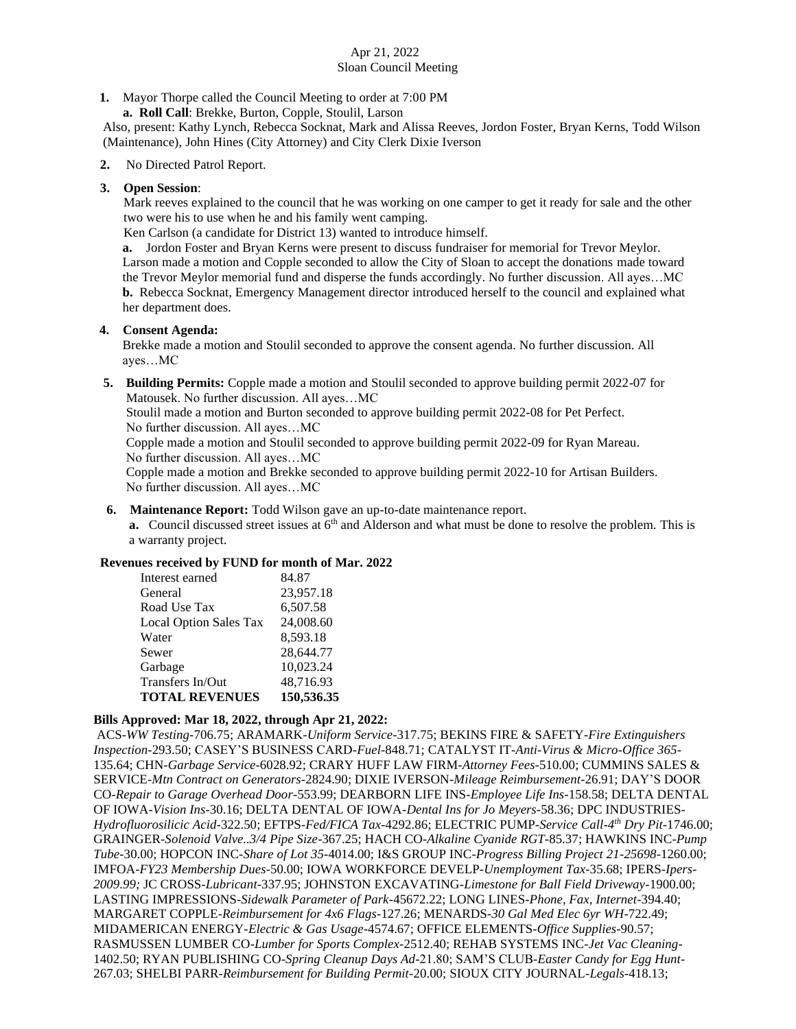# Apr 21, 2022 Sloan Council Meeting

**1.** Mayor Thorpe called the Council Meeting to order at 7:00 PM

 **a. Roll Call**: Brekke, Burton, Copple, Stoulil, Larson

Also, present: Kathy Lynch, Rebecca Socknat, Mark and Alissa Reeves, Jordon Foster, Bryan Kerns, Todd Wilson (Maintenance), John Hines (City Attorney) and City Clerk Dixie Iverson

## **2.** No Directed Patrol Report.

#### **3. Open Session**:

Mark reeves explained to the council that he was working on one camper to get it ready for sale and the other two were his to use when he and his family went camping.

Ken Carlson (a candidate for District 13) wanted to introduce himself.

**a.** Jordon Foster and Bryan Kerns were present to discuss fundraiser for memorial for Trevor Meylor. Larson made a motion and Copple seconded to allow the City of Sloan to accept the donations made toward the Trevor Meylor memorial fund and disperse the funds accordingly. No further discussion. All ayes…MC **b.** Rebecca Socknat, Emergency Management director introduced herself to the council and explained what her department does.

#### **4. Consent Agenda:**

Brekke made a motion and Stoulil seconded to approve the consent agenda. No further discussion. All ayes…MC

 **5. Building Permits:** Copple made a motion and Stoulil seconded to approve building permit 2022-07 for Matousek. No further discussion. All ayes…MC

 Stoulil made a motion and Burton seconded to approve building permit 2022-08 for Pet Perfect. No further discussion. All ayes…MC

 Copple made a motion and Stoulil seconded to approve building permit 2022-09 for Ryan Mareau. No further discussion. All ayes…MC

 Copple made a motion and Brekke seconded to approve building permit 2022-10 for Artisan Builders. No further discussion. All ayes…MC

**6. Maintenance Report:** Todd Wilson gave an up-to-date maintenance report.

**a.** Council discussed street issues at  $6<sup>th</sup>$  and Alderson and what must be done to resolve the problem. This is a warranty project.

# **Revenues received by FUND for month of Mar. 2022**

| Interest earned               | 84.87      |
|-------------------------------|------------|
| General                       | 23,957.18  |
| Road Use Tax                  | 6,507.58   |
| <b>Local Option Sales Tax</b> | 24,008.60  |
| Water                         | 8,593.18   |
| Sewer                         | 28,644.77  |
| Garbage                       | 10,023.24  |
| Transfers In/Out              | 48,716.93  |
| <b>TOTAL REVENUES</b>         | 150,536.35 |

# **Bills Approved: Mar 18, 2022, through Apr 21, 2022:**

ACS-*WW Testing-*706.75; ARAMARK-*Uniform Service-*317.75; BEKINS FIRE & SAFETY-*Fire Extinguishers Inspection-*293.50; CASEY'S BUSINESS CARD-*Fuel-*848.71; CATALYST IT-*Anti-Virus & Micro-Office 365-* 135.64; CHN-*Garbage Service-*6028.92; CRARY HUFF LAW FIRM-*Attorney Fees-*510.00; CUMMINS SALES & SERVICE-*Mtn Contract on Generators-*2824.90; DIXIE IVERSON-*Mileage Reimbursement-*26.91; DAY'S DOOR CO*-Repair to Garage Overhead Door-*553.99; DEARBORN LIFE INS-*Employee Life Ins-*158.58; DELTA DENTAL OF IOWA-*Vision Ins-*30.16; DELTA DENTAL OF IOWA-*Dental Ins for Jo Meyers-*58.36; DPC INDUSTRIES-*Hydrofluorosilicic Acid-*322.50; EFTPS-*Fed/FICA Tax*-4292.86; ELECTRIC PUMP-*Service Call-4 th Dry Pit-*1746.00; GRAINGER-*Solenoid Valve..3/4 Pipe Size-*367.25; HACH CO-*Alkaline Cyanide RGT-*85.37; HAWKINS INC-*Pump Tube-*30.00; HOPCON INC-*Share of Lot 35-*4014.00; I&S GROUP INC-*Progress Billing Project 21-25698-*1260.00; IMFOA-*FY23 Membership Dues-*50.00; IOWA WORKFORCE DEVELP-*Unemployment Tax-*35.68; IPERS-*Ipers-2009.99;* JC CROSS-*Lubricant-*337.95; JOHNSTON EXCAVATING-*Limestone for Ball Field Driveway-*1900.00; LASTING IMPRESSIONS-*Sidewalk Parameter of Park-*45672.22; LONG LINES-*Phone, Fax, Internet*-394.40; MARGARET COPPLE-*Reimbursement for 4x6 Flags-*127.26; MENARDS-*30 Gal Med Elec 6yr WH-*722.49; MIDAMERICAN ENERGY-*Electric & Gas Usage*-4574.67; OFFICE ELEMENTS-*Office Supplies-*90.57; RASMUSSEN LUMBER CO-*Lumber for Sports Complex-*2512.40; REHAB SYSTEMS INC-*Jet Vac Cleaning-*1402.50; RYAN PUBLISHING CO-*Spring Cleanup Days Ad-*21.80; SAM'S CLUB-*Easter Candy for Egg Hunt-*267.03; SHELBI PARR-*Reimbursement for Building Permit-*20.00; SIOUX CITY JOURNAL-*Legals-*418.13;